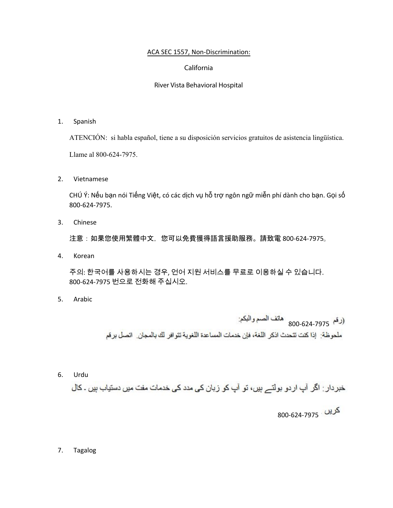## ACA SEC 1557, Non-Discrimination:

## California

## River Vista Behavioral Hospital

1. Spanish

ATENCIÓN: si habla español, tiene a su disposición servicios gratuitos de asistencia lingüística.

Llame al 800-624-7975.

2. Vietnamese

CHÚ Ý: Nếu bạn nói Tiếng Việt, có các dịch vụ hỗ trợ ngôn ngữ miễn phí dành cho bạn. Gọi số 800-624-7975.

3. Chinese

注意:如果您使用繁體中文,您可以免費獲得語言援助服務。請致電800-624-7975。

4. Korean

주의: 한국어를 사용하시는 경우, 언어 지원 서비스를 무료로 이용하실 수 있습니다.<br>800-624-7975 번으로 전화해 주십시오. 800-624-7975 번으로 전화해 주십시오.

5. Arabic

800-624-7975

ملحوظة: إذا كنت تتحدث اذكر اللغة، فإن خدمات المساعدة اللغوية تتوافر لك بالمجان. اتصل برقم

6. Urdu

خبر دار : اگر آپ ار دو بولتے ہیں، تو آپ کو زبان کی مدد کی خدمات مفت میں دستیاب ہیں ۔ کال

800-624-7975

7. Tagalog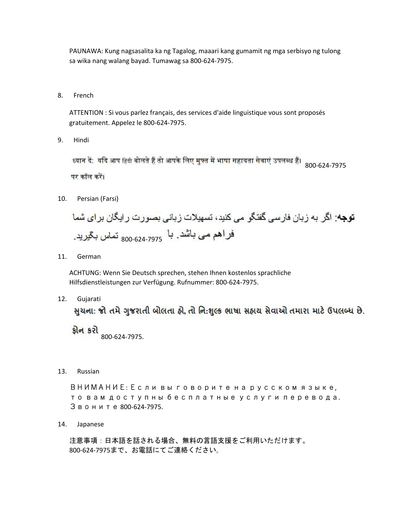PAUNAWA: Kung nagsasalita ka ng Tagalog, maaari kang gumamit ng mga serbisyo ng tulong sa wika nang walang bayad. Tumawag sa 800-624-7975.

8. French

> ATTENTION : Si vous parlez français, des services d'aide linguistique vous sont proposés gratuitement. Appelez le 800-624-7975.

9. Hindi

> पर कॉल करें।

Persian (Farsi)  $10.$ 

 $11.$ German

> ACHTUNG: Wenn Sie Deutsch sprechen, stehen Ihnen kostenlos sprachliche Hilfsdienstleistungen zur Verfügung. Rufnummer: 800-624-7975.

 $12.$ Gujarati

સુચના: જો તમે ગુજરાતી બોલતા હો, તો નિ:શુલ્ક ભાષા સહાચ સેવાઓ તમારા માટે ઉપલબ્ધ છે.

<mark>ફ્રોન કરો</mark><br>800-624-7975.

13. Russian

> ВНИМАНИЕ: Если вы говорите на русском языке, то вам доступны бесплатные услуги перевода. Звоните 800-624-7975.

14. Japanese

> 注意事項:日本語を話される場合、無料の言語支援をご利用いただけます。 800-624-7975まで、お電話にてご連絡ください。